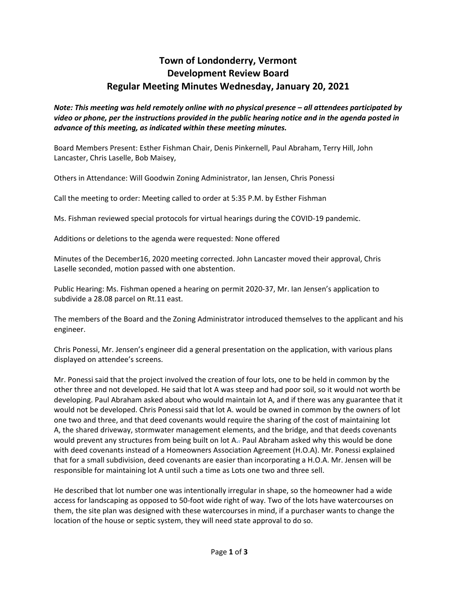## **Town of Londonderry, Vermont Development Review Board Regular Meeting Minutes Wednesday, January 20, 2021**

*Note: This meeting was held remotely online with no physical presence – all attendees participated by video or phone, per the instructions provided in the public hearing notice and in the agenda posted in advance of this meeting, as indicated within these meeting minutes.*

Board Members Present: Esther Fishman Chair, Denis Pinkernell, Paul Abraham, Terry Hill, John Lancaster, Chris Laselle, Bob Maisey,

Others in Attendance: Will Goodwin Zoning Administrator, Ian Jensen, Chris Ponessi

Call the meeting to order: Meeting called to order at 5:35 P.M. by Esther Fishman

Ms. Fishman reviewed special protocols for virtual hearings during the COVID-19 pandemic.

Additions or deletions to the agenda were requested: None offered

Minutes of the December16, 2020 meeting corrected. John Lancaster moved their approval, Chris Laselle seconded, motion passed with one abstention.

Public Hearing: Ms. Fishman opened a hearing on permit 2020-37, Mr. Ian Jensen's application to subdivide a 28.08 parcel on Rt.11 east.

The members of the Board and the Zoning Administrator introduced themselves to the applicant and his engineer.

Chris Ponessi, Mr. Jensen's engineer did a general presentation on the application, with various plans displayed on attendee's screens.

Mr. Ponessi said that the project involved the creation of four lots, one to be held in common by the other three and not developed. He said that lot A was steep and had poor soil, so it would not worth be developing. Paul Abraham asked about who would maintain lot A, and if there was any guarantee that it would not be developed. Chris Ponessi said that lot A. would be owned in common by the owners of lot one two and three, and that deed covenants would require the sharing of the cost of maintaining lot A, the shared driveway, stormwater management elements, and the bridge, and that deeds covenants would prevent any structures from being built on lot A.- Paul Abraham asked why this would be done with deed covenants instead of a Homeowners Association Agreement (H.O.A). Mr. Ponessi explained that for a small subdivision, deed covenants are easier than incorporating a H.O.A. Mr. Jensen will be responsible for maintaining lot A until such a time as Lots one two and three sell.

He described that lot number one was intentionally irregular in shape, so the homeowner had a wide access for landscaping as opposed to 50-foot wide right of way. Two of the lots have watercourses on them, the site plan was designed with these watercourses in mind, if a purchaser wants to change the location of the house or septic system, they will need state approval to do so.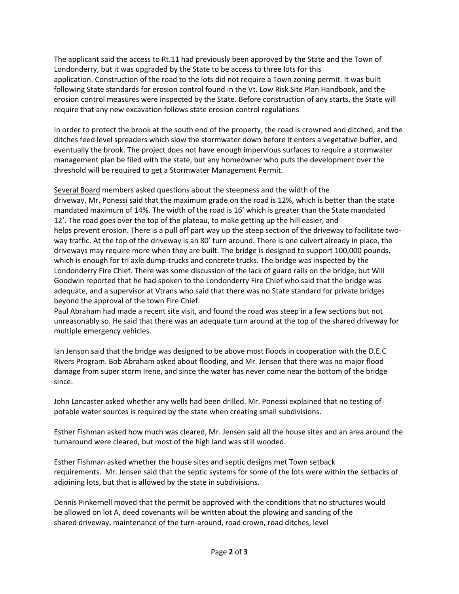The applicant said the access to Rt.11 had previously been approved by the State and the Town of Londonderry, but it was upgraded by the State to be access to three lots for this application. Construction of the road to the lots did not require a Town zoning permit. It was built following State standards for erosion control found in the Vt. Low Risk Site Plan Handbook, and the erosion control measures were inspected by the State. Before construction of any starts, the State will require that any new excavation follows state erosion control regulations

In order to protect the brook at the south end of the property, the road is crowned and ditched, and the ditches feed level spreaders which slow the stormwater down before it enters a vegetative buffer, and eventually the brook. The project does not have enough impervious surfaces to require a stormwater management plan be filed with the state, but any homeowner who puts the development over the threshold will be required to get a Stormwater Management Permit.

Several Board members asked questions about the steepness and the width of the driveway. Mr. Ponessi said that the maximum grade on the road is 12%, which is better than the state mandated maximum of 14%. The width of the road is 16' which is greater than the State mandated 12'. The road goes over the top of the plateau, to make getting up the hill easier, and helps prevent erosion. There is a pull off part way up the steep section of the driveway to facilitate twoway traffic. At the top of the driveway is an 80' turn around. There is one culvert already in place, the driveways may require more when they are built. The bridge is designed to support 100,000 pounds, which is enough for tri axle dump-trucks and concrete trucks. The bridge was inspected by the Londonderry Fire Chief. There was some discussion of the lack of guard rails on the bridge, but Will Goodwin reported that he had spoken to the Londonderry Fire Chief who said that the bridge was adequate, and a supervisor at Vtrans who said that there was no State standard for private bridges beyond the approval of the town Fire Chief.

Paul Abraham had made a recent site visit, and found the road was steep in a few sections but not unreasonably so. He said that there was an adequate turn around at the top of the shared driveway for multiple emergency vehicles.

Ian Jenson said that the bridge was designed to be above most floods in cooperation with the D.E.C Rivers Program. Bob Abraham asked about flooding, and Mr. Jensen that there was no major flood damage from super storm Irene, and since the water has never come near the bottom of the bridge since.

John Lancaster asked whether any wells had been drilled. Mr. Ponessi explained that no testing of potable water sources is required by the state when creating small subdivisions.

Esther Fishman asked how much was cleared, Mr. Jensen said all the house sites and an area around the turnaround were cleared, but most of the high land was still wooded.

Esther Fishman asked whether the house sites and septic designs met Town setback requirements. Mr. Jensen said that the septic systems for some of the lots were within the setbacks of adjoining lots, but that is allowed by the state in subdivisions.

Dennis Pinkernell moved that the permit be approved with the conditions that no structures would be allowed on lot A, deed covenants will be written about the plowing and sanding of the shared driveway, maintenance of the turn-around, road crown, road ditches, level